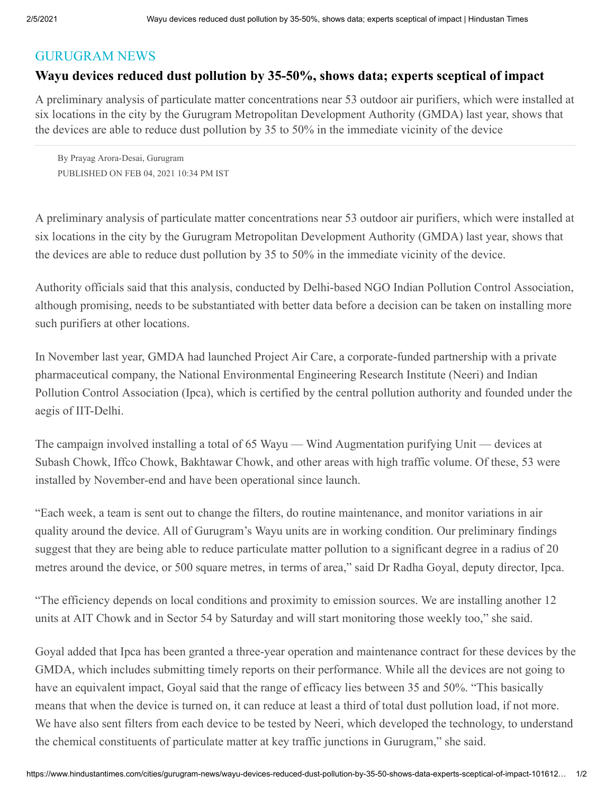## [GURUGRAM NEWS](https://www.hindustantimes.com/cities/gurugram-news)

## **Wayu devices reduced dust pollution by 35-50%, shows data; experts sceptical of impact**

A preliminary analysis of particulate matter concentrations near 53 outdoor air purifiers, which were installed at six locations in the city by the Gurugram Metropolitan Development Authority (GMDA) last year, shows that the devices are able to reduce dust pollution by 35 to 50% in the immediate vicinity of the device

By Prayag Arora-Desai, Gurugram PUBLISHED ON FEB 04, 2021 10:34 PM IST

A preliminary analysis of particulate matter concentrations near 53 outdoor air purifiers, which were installed at six locations in the city by the Gurugram Metropolitan Development Authority (GMDA) last year, shows that the devices are able to reduce dust pollution by 35 to 50% in the immediate vicinity of the device.

Authority officials said that this analysis, conducted by Delhi-based NGO Indian Pollution Control Association, although promising, needs to be substantiated with better data before a decision can be taken on installing more such purifiers at other locations.

In November last year, GMDA had launched Project Air Care, a corporate-funded partnership with a private pharmaceutical company, the National Environmental Engineering Research Institute (Neeri) and Indian Pollution Control Association (Ipca), which is certified by the central pollution authority and founded under the aegis of IIT-Delhi.

The campaign involved installing a total of 65 Wayu — Wind Augmentation purifying Unit — devices at Subash Chowk, Iffco Chowk, Bakhtawar Chowk, and other areas with high traffic volume. Of these, 53 were installed by November-end and have been operational since launch.

"Each week, a team is sent out to change the filters, do routine maintenance, and monitor variations in air quality around the device. All of Gurugram's Wayu units are in working condition. Our preliminary findings suggest that they are being able to reduce particulate matter pollution to a significant degree in a radius of 20 metres around the device, or 500 square metres, in terms of area," said Dr Radha Goyal, deputy director, Ipca.

"The efficiency depends on local conditions and proximity to emission sources. We are installing another 12 units at AIT Chowk and in Sector 54 by Saturday and will start monitoring those weekly too," she said.

Goyal added that Ipca has been granted a three-year operation and maintenance contract for these devices by the GMDA, which includes submitting timely reports on their performance. While all the devices are not going to have an equivalent impact, Goyal said that the range of efficacy lies between 35 and 50%. "This basically means that when the device is turned on, it can reduce at least a third of total dust pollution load, if not more. We have also sent filters from each device to be tested by Neeri, which developed the technology, to understand the chemical constituents of particulate matter at key traffic junctions in Gurugram," she said.